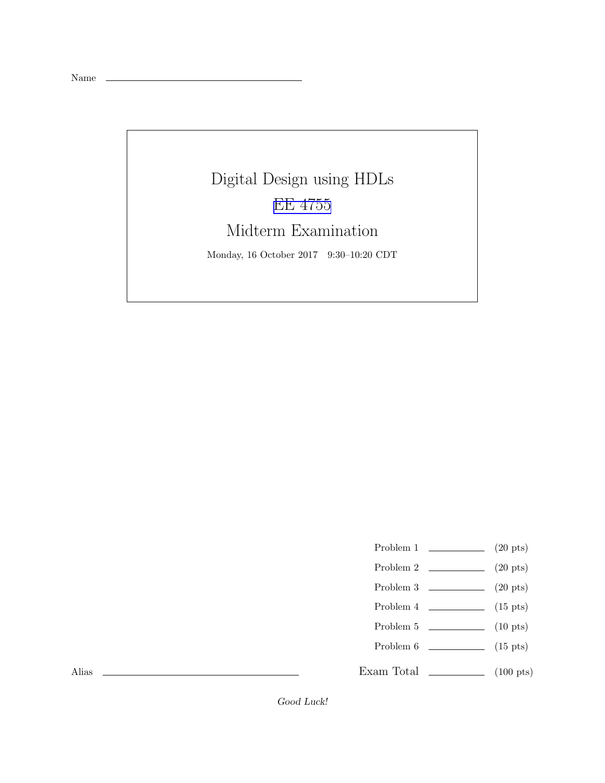Name

## Digital Design using HDLs [EE 4755](http://www.ece.lsu.edu/koppel/v/) Midterm Examination Monday, 16 October 2017 9:30–10:20 CDT

- Problem 1  $\qquad \qquad (20 \text{ pts})$
- Problem 2  $\qquad \qquad (20 \text{ pts})$
- Problem  $3 \t\t(20 \text{ pts})$
- Problem 4  $\qquad \qquad$  (15 pts)
- Problem 5  $\qquad \qquad$  (10 pts)
- Problem 6 (15 pts)
- Exam Total  $\qquad \qquad$  (100 pts)

Alias

Good Luck!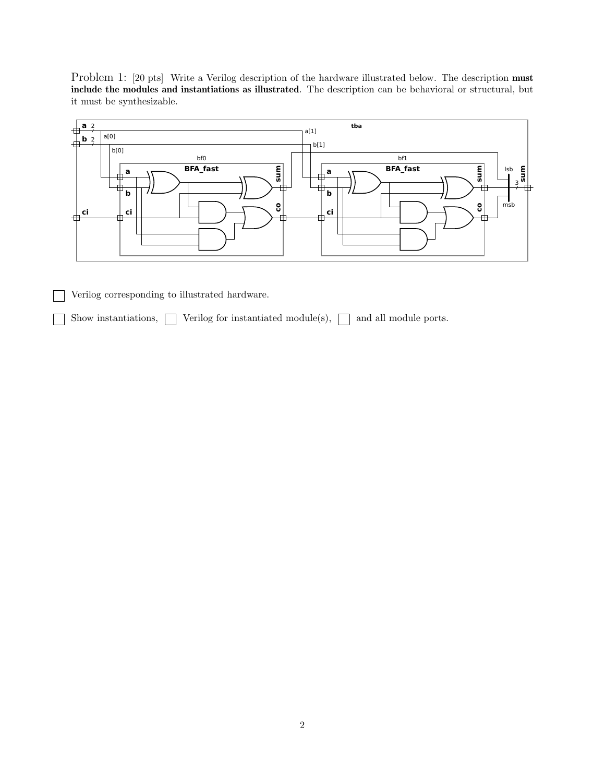Problem 1: [20 pts] Write a Verilog description of the hardware illustrated below. The description must include the modules and instantiations as illustrated. The description can be behavioral or structural, but it must be synthesizable.



Verilog corresponding to illustrated hardware.

Show instantiations,  $\Box$  Verilog for instantiated module(s),  $\Box$  and all module ports.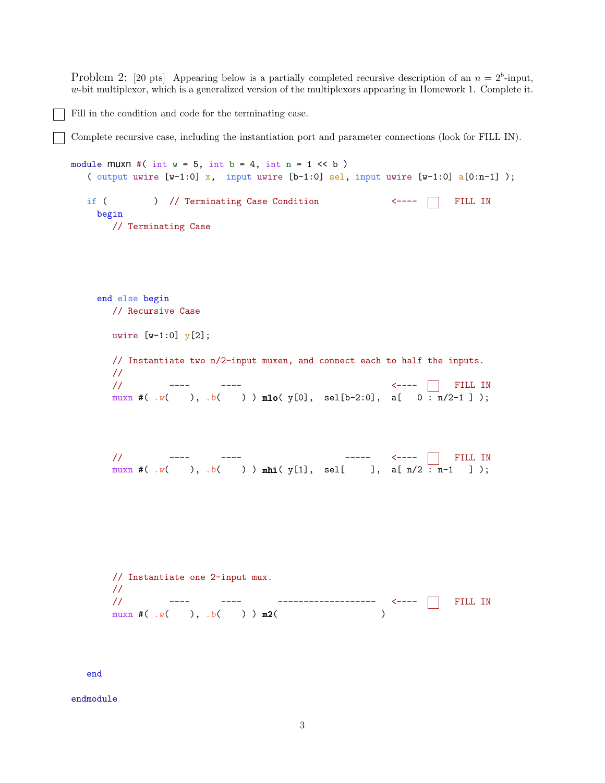Problem 2: [20 pts] Appearing below is a partially completed recursive description of an  $n = 2<sup>b</sup>$ -input,  $w$ -bit multiplexor, which is a generalized version of the multiplexors appearing in Homework 1. Complete it.

Fill in the condition and code for the terminating case.

Complete recursive case, including the instantiation port and parameter connections (look for FILL IN).

```
module muxn #( int w = 5, int b = 4, int n = 1 \ll b )
  ( output uwire [w-1:0] x, input uwire [b-1:0] sel, input uwire [w-1:0] a[0:n-1]);
  if ( ) // Terminating Case Condition \longleftarrow ---- \Box FILL IN
   begin
      // Terminating Case
    end else begin
      // Recursive Case
      uwire [w-1:0] y[2];
      // Instantiate two n/2-input muxen, and connect each to half the inputs.
      //
      // ---- ---- <---- FILL IN
      muxn #( W ), W ) ) mlo( y[0], sel[b-2:0], a[ 0 : n/2-1 ] );
      // ---- ---- ----- <---- FILL IN
      muxn #( W ), W ) mhi( y[1], sel[ ], a[ n/2 : n-1 ] );
      // Instantiate one 2-input mux.
      //
      // ---- ---- ------------------- <---- FILL IN
      muxn #( W ), W ( ) ) m2(
```
end

endmodule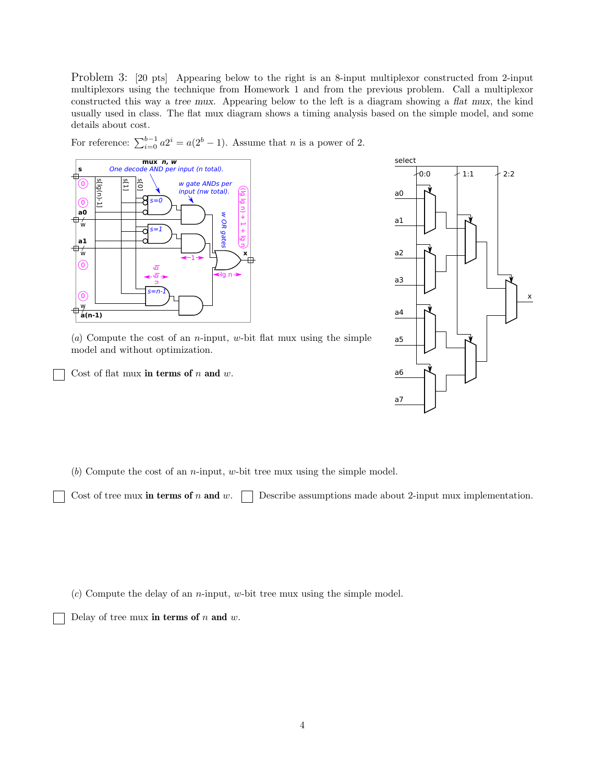Problem 3: [20 pts] Appearing below to the right is an 8-input multiplexor constructed from 2-input multiplexors using the technique from Homework 1 and from the previous problem. Call a multiplexor constructed this way a tree mux. Appearing below to the left is a diagram showing a flat mux, the kind usually used in class. The flat mux diagram shows a timing analysis based on the simple model, and some details about cost.

For reference:  $\sum_{i=0}^{b-1} a2^i = a(2^b - 1)$ . Assume that *n* is a power of 2.





(*a*) Compute the cost of an n-input, w-bit flat mux using the simple model and without optimization.

Cost of flat mux in terms of  $n$  and  $w$ .

(*b*) Compute the cost of an n-input, w-bit tree mux using the simple model.

Cost of tree mux in terms of n and w.  $\Box$  Describe assumptions made about 2-input mux implementation.

(*c*) Compute the delay of an n-input, w-bit tree mux using the simple model.

Delay of tree mux in terms of  $n$  and  $w$ .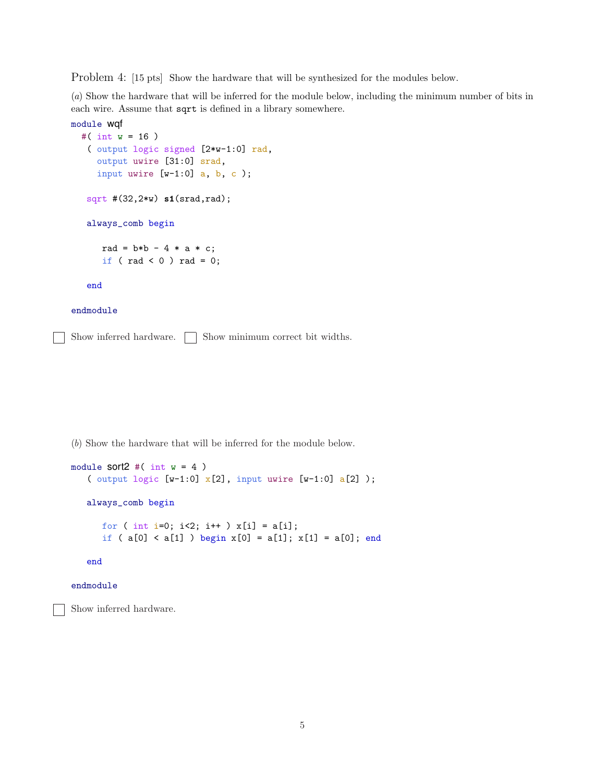Problem 4: [15 pts] Show the hardware that will be synthesized for the modules below.

(*a*) Show the hardware that will be inferred for the module below, including the minimum number of bits in each wire. Assume that sqrt is defined in a library somewhere.

```
module wqf
  #( int w = 16 )
   ( output logic signed [2*w-1:0] rad,
     output uwire [31:0] srad,
     input uwire [w-1:0] a, b, c);
   sqrt #(32,2*w) s1(srad,rad);
   always_comb begin
      rad = b*b - 4 * a * c;if ( rad < 0 ) rad = 0;
   end
```
## endmodule

Show inferred hardware.  $\Box$  Show minimum correct bit widths.

(*b*) Show the hardware that will be inferred for the module below.

```
module sort2 #( int w = 4)
   ( output logic [w-1:0] x[2], input uwire [w-1:0] a[2] );
   always_comb begin
     for ( int i=0; i<2; i++ ) x[i] = a[i];
      if ( a[0] < a[1] ) begin x[0] = a[1]; x[1] = a[0]; end
   end
```
## endmodule

Show inferred hardware.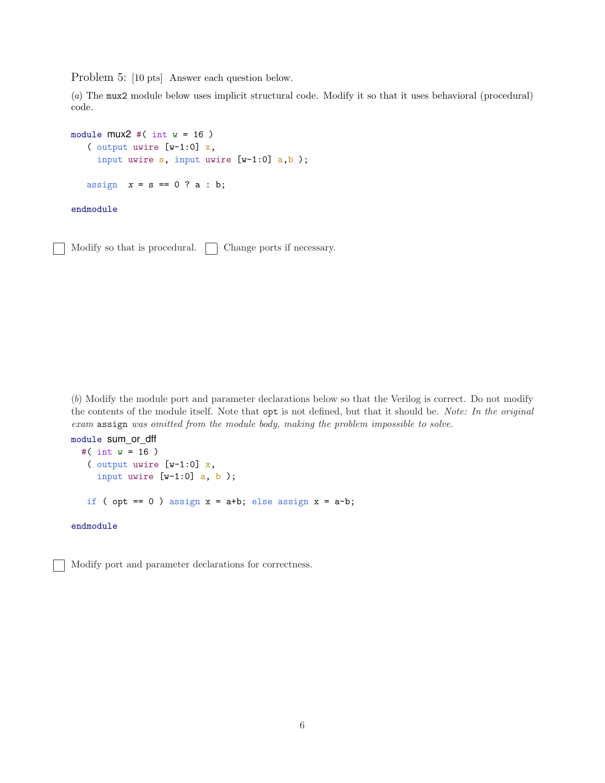Problem 5: [10 pts] Answer each question below.

(*a*) The mux2 module below uses implicit structural code. Modify it so that it uses behavioral (procedural) code.

```
module mu2 \neq (int w = 16)( output uwire [w-1:0] x,
     input uwire s, input uwire [w-1:0] a,b );
   assign x = s == 0 ? a : b;
endmodule
```
Modify so that is procedural.  $\Box$  Change ports if necessary.

(*b*) Modify the module port and parameter declarations below so that the Verilog is correct. Do not modify the contents of the module itself. Note that opt is not defined, but that it should be. *Note: In the original exam* assign *was omitted from the module body, making the problem impossible to solve.*

```
module sum_or_dff
  #( int w = 16 )
   ( output uwire [v-1:0] x,
     input uwire [w-1:0] a, b );
   if ( opt == 0 ) assign x = a+b; else assign x = a-b;
```
endmodule

Modify port and parameter declarations for correctness.